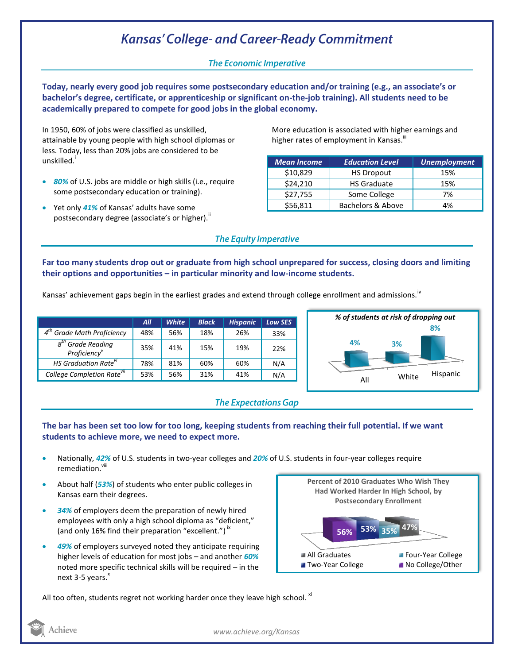# **Kansas' College- and Career-Ready Commitment**

## **The Economic Imperative**

**Today, nearly every good job requires some postsecondary education and/or training (e.g., an associate's or bachelor's degree, certificate, or apprenticeship or significant on-the-job training). All students need to be academically prepared to compete for good jobs in the global economy.**

In 1950, 60% of jobs were classified as unskilled, attainable by young people with high school diplomas or less. Today, less than 20% jobs are considered to be unskilled.<sup>'</sup>

- *80%* of U.S. jobs are middle or high skills (i.e., require some postsecondary education or training).
- Yet only *41%* of Kansas' adults have some postsecondary degree (associate's or higher).<sup>"</sup>

More education is associated with higher earnings and higher rates of employment in Kansas.<sup>""</sup>

| <b>Mean Income</b> | <b>Education Level</b> | <b>Unemployment</b> |  |
|--------------------|------------------------|---------------------|--|
| \$10,829           | <b>HS Dropout</b>      | 15%                 |  |
| \$24,210           | <b>HS Graduate</b>     | 15%                 |  |
| \$27,755           | Some College           | 7%                  |  |
| \$56,811           | Bachelors & Above      | 4%                  |  |

## **The Equity Imperative**

**Far too many students drop out or graduate from high school unprepared for success, closing doors and limiting their options and opportunities – in particular minority and low-income students.** 

Kansas' achievement gaps begin in the earliest grades and extend through college enrollment and admissions.<sup>iv</sup>

|                                                              | All | <b>White</b> | <b>Black</b> | <b>Hispanic</b> | <b>Low SES</b> |
|--------------------------------------------------------------|-----|--------------|--------------|-----------------|----------------|
| <b>Grade Math Proficiency</b>                                | 48% | 56%          | 18%          | 26%             | 33%            |
| $g^{tn}$<br><b>Grade Reading</b><br>Proficiency <sup>v</sup> | 35% | 41%          | 15%          | 19%             | 22%            |
| HS Graduation Rate <sup>vi</sup>                             | 78% | 81%          | 60%          | 60%             | N/A            |
| College Completion Rate <sup>vii</sup>                       | 53% | 56%          | 31%          | 41%             | N/A            |



## **The Expectations Gap**

#### **The bar has been set too low for too long, keeping students from reaching their full potential. If we want students to achieve more, we need to expect more.**

- Nationally, *42%* of U.S. students in two-year colleges and *20%* of U.S. students in four-year colleges require remediation.<sup>viii</sup>
- About half (*53%*) of students who enter public colleges in Kansas earn their degrees.
- *34%* of employers deem the preparation of newly hired employees with only a high school diploma as "deficient," (and only 16% find their preparation "excellent.")<sup>ix</sup>
- *49%* of employers surveyed noted they anticipate requiring higher levels of education for most jobs – and another *60%* noted more specific technical skills will be required – in the next 3-5 years.<sup>x</sup>



All too often, students regret not working harder once they leave high school.  $x_i$ 

Achieve

*www.achieve.org/Kansas*